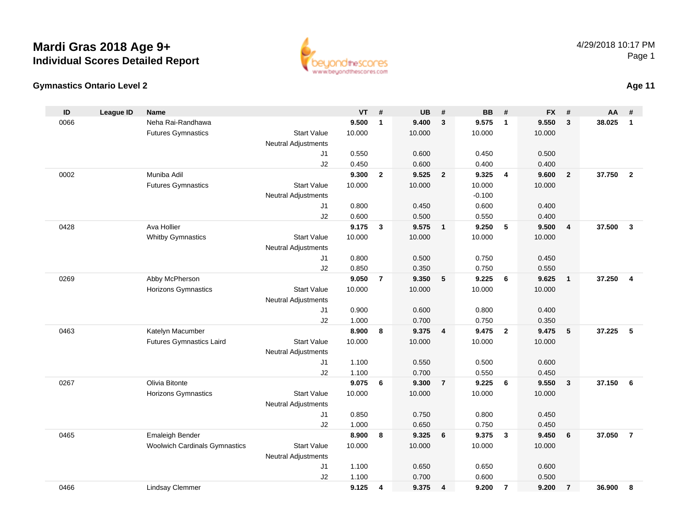



| ID   | <b>League ID</b> | <b>Name</b>                          |                            | VT     | #              | <b>UB</b> | #              | <b>BB</b> | #                       | <b>FX</b> | #                       | AA     | #                       |
|------|------------------|--------------------------------------|----------------------------|--------|----------------|-----------|----------------|-----------|-------------------------|-----------|-------------------------|--------|-------------------------|
| 0066 |                  | Neha Rai-Randhawa                    |                            | 9.500  | $\mathbf{1}$   | 9.400     | $\mathbf{3}$   | 9.575     | $\overline{1}$          | 9.550     | $\mathbf{3}$            | 38.025 | $\mathbf{1}$            |
|      |                  | <b>Futures Gymnastics</b>            | <b>Start Value</b>         | 10.000 |                | 10.000    |                | 10.000    |                         | 10.000    |                         |        |                         |
|      |                  |                                      | <b>Neutral Adjustments</b> |        |                |           |                |           |                         |           |                         |        |                         |
|      |                  |                                      | J1                         | 0.550  |                | 0.600     |                | 0.450     |                         | 0.500     |                         |        |                         |
|      |                  |                                      | J2                         | 0.450  |                | 0.600     |                | 0.400     |                         | 0.400     |                         |        |                         |
| 0002 |                  | Muniba Adil                          |                            | 9.300  | $\overline{2}$ | 9.525     | $\overline{2}$ | 9.325     | $\overline{\mathbf{4}}$ | 9.600     | $\overline{2}$          | 37.750 | $\overline{2}$          |
|      |                  | <b>Futures Gymnastics</b>            | <b>Start Value</b>         | 10.000 |                | 10.000    |                | 10.000    |                         | 10.000    |                         |        |                         |
|      |                  |                                      | <b>Neutral Adjustments</b> |        |                |           |                | $-0.100$  |                         |           |                         |        |                         |
|      |                  |                                      | J1                         | 0.800  |                | 0.450     |                | 0.600     |                         | 0.400     |                         |        |                         |
|      |                  |                                      | J2                         | 0.600  |                | 0.500     |                | 0.550     |                         | 0.400     |                         |        |                         |
| 0428 |                  | Ava Hollier                          |                            | 9.175  | $\mathbf{3}$   | 9.575     | $\overline{1}$ | 9.250     | 5                       | 9.500     | $\overline{4}$          | 37.500 | $\mathbf{3}$            |
|      |                  | <b>Whitby Gymnastics</b>             | <b>Start Value</b>         | 10.000 |                | 10.000    |                | 10.000    |                         | 10.000    |                         |        |                         |
|      |                  |                                      | <b>Neutral Adjustments</b> |        |                |           |                |           |                         |           |                         |        |                         |
|      |                  |                                      | J1                         | 0.800  |                | 0.500     |                | 0.750     |                         | 0.450     |                         |        |                         |
|      |                  |                                      | J2                         | 0.850  |                | 0.350     |                | 0.750     |                         | 0.550     |                         |        |                         |
| 0269 |                  | Abby McPherson                       |                            | 9.050  | $\overline{7}$ | 9.350     | 5              | 9.225     | 6                       | 9.625     | $\overline{1}$          | 37.250 | $\overline{\mathbf{4}}$ |
|      |                  | Horizons Gymnastics                  | <b>Start Value</b>         | 10.000 |                | 10.000    |                | 10.000    |                         | 10.000    |                         |        |                         |
|      |                  |                                      | <b>Neutral Adjustments</b> |        |                |           |                |           |                         |           |                         |        |                         |
|      |                  |                                      | J1                         | 0.900  |                | 0.600     |                | 0.800     |                         | 0.400     |                         |        |                         |
|      |                  |                                      | J2                         | 1.000  |                | 0.700     |                | 0.750     |                         | 0.350     |                         |        |                         |
| 0463 |                  | Katelyn Macumber                     |                            | 8.900  | 8              | 9.375     | $\overline{4}$ | 9.475     | $\overline{2}$          | 9.475     | 5                       | 37.225 | 5                       |
|      |                  | <b>Futures Gymnastics Laird</b>      | <b>Start Value</b>         | 10.000 |                | 10.000    |                | 10.000    |                         | 10.000    |                         |        |                         |
|      |                  |                                      | <b>Neutral Adjustments</b> |        |                |           |                |           |                         |           |                         |        |                         |
|      |                  |                                      | J1                         | 1.100  |                | 0.550     |                | 0.500     |                         | 0.600     |                         |        |                         |
|      |                  |                                      | J2                         | 1.100  |                | 0.700     |                | 0.550     |                         | 0.450     |                         |        |                         |
| 0267 |                  | Olivia Bitonte                       |                            | 9.075  | 6              | 9.300     | $\overline{7}$ | 9.225     | 6                       | 9.550     | $\overline{\mathbf{3}}$ | 37.150 | 6                       |
|      |                  | Horizons Gymnastics                  | <b>Start Value</b>         | 10.000 |                | 10.000    |                | 10.000    |                         | 10.000    |                         |        |                         |
|      |                  |                                      | <b>Neutral Adjustments</b> |        |                |           |                |           |                         |           |                         |        |                         |
|      |                  |                                      | J1                         | 0.850  |                | 0.750     |                | 0.800     |                         | 0.450     |                         |        |                         |
|      |                  |                                      | J2                         | 1.000  |                | 0.650     |                | 0.750     |                         | 0.450     |                         |        |                         |
| 0465 |                  | <b>Emaleigh Bender</b>               |                            | 8.900  | 8              | 9.325     | 6              | 9.375     | $\overline{\mathbf{3}}$ | 9.450     | 6                       | 37.050 | $\overline{7}$          |
|      |                  | <b>Woolwich Cardinals Gymnastics</b> | <b>Start Value</b>         | 10.000 |                | 10.000    |                | 10.000    |                         | 10.000    |                         |        |                         |
|      |                  |                                      | <b>Neutral Adjustments</b> |        |                |           |                |           |                         |           |                         |        |                         |
|      |                  |                                      | J1                         | 1.100  |                | 0.650     |                | 0.650     |                         | 0.600     |                         |        |                         |
|      |                  |                                      | J2                         | 1.100  |                | 0.700     |                | 0.600     |                         | 0.500     |                         |        |                         |
| 0466 |                  | <b>Lindsay Clemmer</b>               |                            | 9.125  | $\overline{4}$ | 9.375     | $\overline{4}$ | 9.200     | $\overline{7}$          | 9.200     | $\overline{7}$          | 36.900 | 8                       |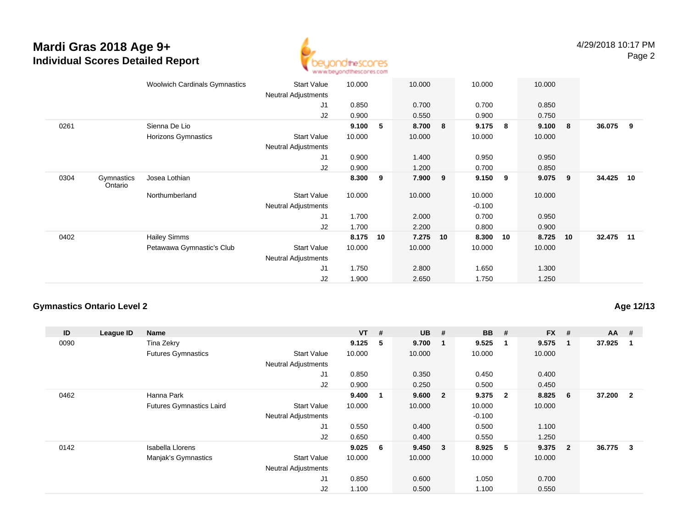

|                               | <b>Woolwich Cardinals Gymnastics</b> | <b>Start Value</b>         | 10.000 |    | 10.000  |    | 10.000   |    | 10.000 |            |           |    |
|-------------------------------|--------------------------------------|----------------------------|--------|----|---------|----|----------|----|--------|------------|-----------|----|
|                               |                                      | Neutral Adjustments        |        |    |         |    |          |    |        |            |           |    |
|                               |                                      | J1                         | 0.850  |    | 0.700   |    | 0.700    |    | 0.850  |            |           |    |
|                               |                                      | J <sub>2</sub>             | 0.900  |    | 0.550   |    | 0.900    |    | 0.750  |            |           |    |
| 0261                          | Sienna De Lio                        |                            | 9.100  | 5  | 8.700 8 |    | 9.175    | 8  | 9.100  | $_{\rm 8}$ | 36.075 9  |    |
|                               | Horizons Gymnastics                  | <b>Start Value</b>         | 10.000 |    | 10.000  |    | 10.000   |    | 10.000 |            |           |    |
|                               |                                      | Neutral Adjustments        |        |    |         |    |          |    |        |            |           |    |
|                               |                                      | J1                         | 0.900  |    | 1.400   |    | 0.950    |    | 0.950  |            |           |    |
|                               |                                      | J <sub>2</sub>             | 0.900  |    | 1.200   |    | 0.700    |    | 0.850  |            |           |    |
| 0304<br>Gymnastics<br>Ontario | Josea Lothian                        |                            | 8.300  | 9  | 7.900   | 9  | 9.150    | 9  | 9.075  | 9          | 34.425    | 10 |
|                               | Northumberland                       | <b>Start Value</b>         | 10.000 |    | 10.000  |    | 10.000   |    | 10.000 |            |           |    |
|                               |                                      | <b>Neutral Adjustments</b> |        |    |         |    | $-0.100$ |    |        |            |           |    |
|                               |                                      | J1                         | 1.700  |    | 2.000   |    | 0.700    |    | 0.950  |            |           |    |
|                               |                                      | J2                         | 1.700  |    | 2.200   |    | 0.800    |    | 0.900  |            |           |    |
| 0402                          | <b>Hailey Simms</b>                  |                            | 8.175  | 10 | 7.275   | 10 | 8.300    | 10 | 8.725  | 10         | 32.475 11 |    |
|                               | Petawawa Gymnastic's Club            | <b>Start Value</b>         | 10.000 |    | 10.000  |    | 10.000   |    | 10.000 |            |           |    |
|                               |                                      | <b>Neutral Adjustments</b> |        |    |         |    |          |    |        |            |           |    |
|                               |                                      | J1                         | 1.750  |    | 2.800   |    | 1.650    |    | 1.300  |            |           |    |
|                               |                                      | J2                         | 1.900  |    | 2.650   |    | 1.750    |    | 1.250  |            |           |    |
|                               |                                      |                            |        |    |         |    |          |    |        |            |           |    |

### **Gymnastics Ontario Level 2**

**Age 12/13**

| ID   | League ID | Name                            |                            | $VT$ #    |    | <b>UB</b> | - #                     | <b>BB</b> | #              | <b>FX</b> | -#             | $AA$ #   |                |
|------|-----------|---------------------------------|----------------------------|-----------|----|-----------|-------------------------|-----------|----------------|-----------|----------------|----------|----------------|
| 0090 |           | Tina Zekry                      |                            | 9.125     | 5  | 9.700     | $\overline{\mathbf{1}}$ | 9.525     | $\mathbf 1$    | 9.575     | 1              | 37.925   |                |
|      |           | <b>Futures Gymnastics</b>       | <b>Start Value</b>         | 10.000    |    | 10.000    |                         | 10.000    |                | 10.000    |                |          |                |
|      |           |                                 | <b>Neutral Adjustments</b> |           |    |           |                         |           |                |           |                |          |                |
|      |           |                                 | J1                         | 0.850     |    | 0.350     |                         | 0.450     |                | 0.400     |                |          |                |
|      |           |                                 | J2                         | 0.900     |    | 0.250     |                         | 0.500     |                | 0.450     |                |          |                |
| 0462 |           | Hanna Park                      |                            | 9.400     | -1 | 9.600     | $\overline{\mathbf{2}}$ | 9.375     | $\overline{2}$ | 8.825     | 6              | 37.200   | $\overline{2}$ |
|      |           | <b>Futures Gymnastics Laird</b> | <b>Start Value</b>         | 10.000    |    | 10.000    |                         | 10.000    |                | 10.000    |                |          |                |
|      |           |                                 | <b>Neutral Adjustments</b> |           |    |           |                         | $-0.100$  |                |           |                |          |                |
|      |           |                                 | J1                         | 0.550     |    | 0.400     |                         | 0.500     |                | 1.100     |                |          |                |
|      |           |                                 | J2                         | 0.650     |    | 0.400     |                         | 0.550     |                | 1.250     |                |          |                |
| 0142 |           | Isabella Llorens                |                            | $9.025$ 6 |    | 9.450 3   |                         | 8.925     | - 5            | 9.375     | $\overline{2}$ | 36.775 3 |                |
|      |           | Manjak's Gymnastics             | <b>Start Value</b>         | 10.000    |    | 10.000    |                         | 10.000    |                | 10.000    |                |          |                |
|      |           |                                 | <b>Neutral Adjustments</b> |           |    |           |                         |           |                |           |                |          |                |
|      |           |                                 | J1                         | 0.850     |    | 0.600     |                         | 1.050     |                | 0.700     |                |          |                |
|      |           |                                 | J2                         | 1.100     |    | 0.500     |                         | 1.100     |                | 0.550     |                |          |                |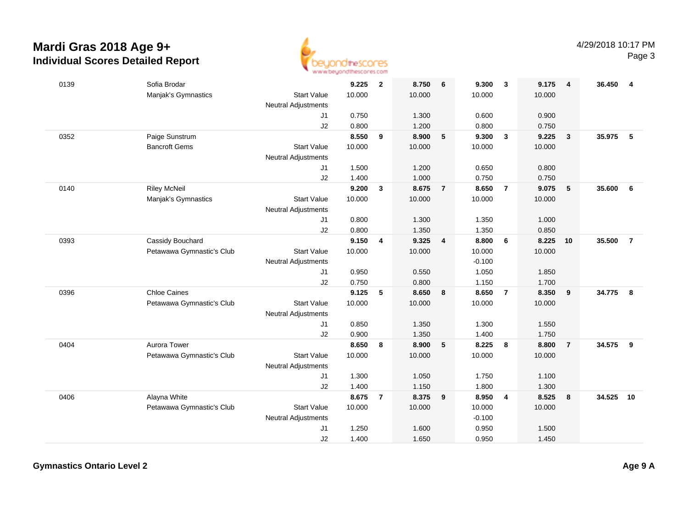

| 0139 | Sofia Brodar              |                            | 9.225  | $\overline{2}$ | 8.750  | 6                       | 9.300    | $\overline{\mathbf{3}}$ | 9.175  | $\overline{4}$  | 36.450 | -4             |
|------|---------------------------|----------------------------|--------|----------------|--------|-------------------------|----------|-------------------------|--------|-----------------|--------|----------------|
|      | Manjak's Gymnastics       | <b>Start Value</b>         | 10.000 |                | 10.000 |                         | 10.000   |                         | 10.000 |                 |        |                |
|      |                           | Neutral Adjustments        |        |                |        |                         |          |                         |        |                 |        |                |
|      |                           | J1                         | 0.750  |                | 1.300  |                         | 0.600    |                         | 0.900  |                 |        |                |
|      |                           | J2                         | 0.800  |                | 1.200  |                         | 0.800    |                         | 0.750  |                 |        |                |
| 0352 | Paige Sunstrum            |                            | 8.550  | 9              | 8.900  | $5\phantom{.0}$         | 9.300    | $\overline{\mathbf{3}}$ | 9.225  | $\mathbf{3}$    | 35.975 | -5             |
|      | <b>Bancroft Gems</b>      | <b>Start Value</b>         | 10.000 |                | 10.000 |                         | 10.000   |                         | 10.000 |                 |        |                |
|      |                           | <b>Neutral Adjustments</b> |        |                |        |                         |          |                         |        |                 |        |                |
|      |                           | J1                         | 1.500  |                | 1.200  |                         | 0.650    |                         | 0.800  |                 |        |                |
|      |                           | J2                         | 1.400  |                | 1.000  |                         | 0.750    |                         | 0.750  |                 |        |                |
| 0140 | <b>Riley McNeil</b>       |                            | 9.200  | $\mathbf{3}$   | 8.675  | $\overline{7}$          | 8.650    | $\overline{7}$          | 9.075  | $5\phantom{.0}$ | 35.600 | 6              |
|      | Manjak's Gymnastics       | <b>Start Value</b>         | 10.000 |                | 10.000 |                         | 10.000   |                         | 10.000 |                 |        |                |
|      |                           | Neutral Adjustments        |        |                |        |                         |          |                         |        |                 |        |                |
|      |                           | J1                         | 0.800  |                | 1.300  |                         | 1.350    |                         | 1.000  |                 |        |                |
|      |                           | J2                         | 0.800  |                | 1.350  |                         | 1.350    |                         | 0.850  |                 |        |                |
| 0393 | Cassidy Bouchard          |                            | 9.150  | 4              | 9.325  | $\overline{\mathbf{4}}$ | 8.800    | - 6                     | 8.225  | 10              | 35.500 | $\overline{7}$ |
|      | Petawawa Gymnastic's Club | <b>Start Value</b>         | 10.000 |                | 10.000 |                         | 10.000   |                         | 10.000 |                 |        |                |
|      |                           | Neutral Adjustments        |        |                |        |                         | $-0.100$ |                         |        |                 |        |                |
|      |                           | J1                         | 0.950  |                | 0.550  |                         | 1.050    |                         | 1.850  |                 |        |                |
|      |                           | J2                         | 0.750  |                | 0.800  |                         | 1.150    |                         | 1.700  |                 |        |                |
| 0396 | <b>Chloe Caines</b>       |                            | 9.125  | 5              | 8.650  | 8                       | 8.650    | $\overline{7}$          | 8.350  | 9               | 34.775 | 8              |
|      | Petawawa Gymnastic's Club | <b>Start Value</b>         | 10.000 |                | 10.000 |                         | 10.000   |                         | 10.000 |                 |        |                |
|      |                           | <b>Neutral Adjustments</b> |        |                |        |                         |          |                         |        |                 |        |                |
|      |                           | J1                         | 0.850  |                | 1.350  |                         | 1.300    |                         | 1.550  |                 |        |                |
|      |                           | J2                         | 0.900  |                | 1.350  |                         | 1.400    |                         | 1.750  |                 |        |                |
| 0404 | Aurora Tower              |                            | 8.650  | 8              | 8.900  | $5\phantom{.0}$         | 8.225    | 8                       | 8.800  | $\overline{7}$  | 34.575 | 9              |
|      | Petawawa Gymnastic's Club | <b>Start Value</b>         | 10.000 |                | 10.000 |                         | 10.000   |                         | 10.000 |                 |        |                |
|      |                           | <b>Neutral Adjustments</b> |        |                |        |                         |          |                         |        |                 |        |                |
|      |                           | J1                         | 1.300  |                | 1.050  |                         | 1.750    |                         | 1.100  |                 |        |                |
|      |                           | J2                         | 1.400  |                | 1.150  |                         | 1.800    |                         | 1.300  |                 |        |                |
| 0406 | Alayna White              |                            | 8.675  | $\overline{7}$ | 8.375  | 9                       | 8.950    | $\overline{4}$          | 8.525  | 8               | 34.525 | 10             |
|      | Petawawa Gymnastic's Club | <b>Start Value</b>         | 10.000 |                | 10.000 |                         | 10.000   |                         | 10.000 |                 |        |                |
|      |                           | <b>Neutral Adjustments</b> |        |                |        |                         | $-0.100$ |                         |        |                 |        |                |
|      |                           | J1                         | 1.250  |                | 1.600  |                         | 0.950    |                         | 1.500  |                 |        |                |
|      |                           | J2                         | 1.400  |                | 1.650  |                         | 0.950    |                         | 1.450  |                 |        |                |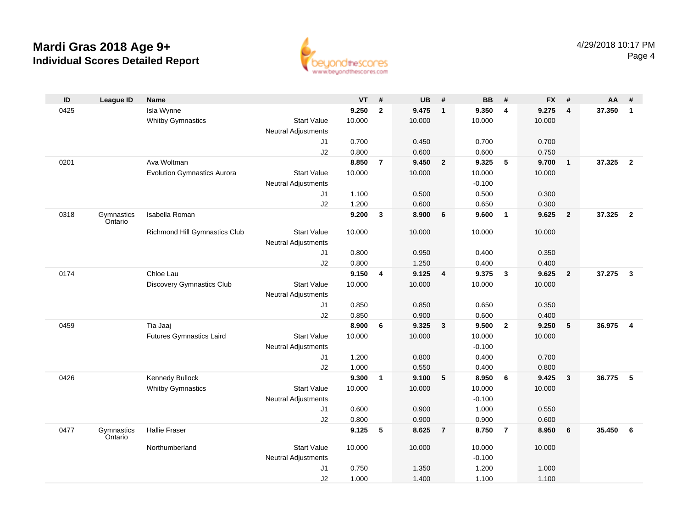

| ID   | <b>League ID</b>      | <b>Name</b>                        |                                  | <b>VT</b> | #              | <b>UB</b> | #                       | <b>BB</b>         | #              | <b>FX</b> | #                       | AA     | #                       |
|------|-----------------------|------------------------------------|----------------------------------|-----------|----------------|-----------|-------------------------|-------------------|----------------|-----------|-------------------------|--------|-------------------------|
| 0425 |                       | Isla Wynne                         |                                  | 9.250     | $\overline{2}$ | 9.475     | $\mathbf{1}$            | 9.350             | 4              | 9.275     | $\overline{4}$          | 37.350 | $\overline{1}$          |
|      |                       | <b>Whitby Gymnastics</b>           | <b>Start Value</b>               | 10.000    |                | 10.000    |                         | 10.000            |                | 10.000    |                         |        |                         |
|      |                       |                                    | <b>Neutral Adjustments</b>       |           |                |           |                         |                   |                |           |                         |        |                         |
|      |                       |                                    | J1                               | 0.700     |                | 0.450     |                         | 0.700             |                | 0.700     |                         |        |                         |
|      |                       |                                    | J2                               | 0.800     |                | 0.600     |                         | 0.600             |                | 0.750     |                         |        |                         |
| 0201 |                       | Ava Woltman                        |                                  | 8.850     | $\overline{7}$ | 9.450     | $\overline{2}$          | 9.325             | 5              | 9.700     | $\overline{1}$          | 37.325 | $\overline{\mathbf{2}}$ |
|      |                       | <b>Evolution Gymnastics Aurora</b> | <b>Start Value</b>               | 10.000    |                | 10.000    |                         | 10.000            |                | 10.000    |                         |        |                         |
|      |                       |                                    | <b>Neutral Adjustments</b>       |           |                |           |                         | $-0.100$          |                |           |                         |        |                         |
|      |                       |                                    | J1                               | 1.100     |                | 0.500     |                         | 0.500             |                | 0.300     |                         |        |                         |
|      |                       |                                    | J2                               | 1.200     |                | 0.600     |                         | 0.650             |                | 0.300     |                         |        |                         |
| 0318 | Gymnastics<br>Ontario | Isabella Roman                     |                                  | 9.200     | 3              | 8.900     | 6                       | 9.600             | $\mathbf{1}$   | 9.625     | $\overline{\mathbf{2}}$ | 37.325 | $\overline{\mathbf{2}}$ |
|      |                       | Richmond Hill Gymnastics Club      | <b>Start Value</b>               | 10.000    |                | 10.000    |                         | 10.000            |                | 10.000    |                         |        |                         |
|      |                       |                                    | <b>Neutral Adjustments</b>       |           |                |           |                         |                   |                |           |                         |        |                         |
|      |                       |                                    | J1                               | 0.800     |                | 0.950     |                         | 0.400             |                | 0.350     |                         |        |                         |
|      |                       |                                    | J2                               | 0.800     |                | 1.250     |                         | 0.400             |                | 0.400     |                         |        |                         |
| 0174 |                       | Chloe Lau                          |                                  | 9.150     | 4              | 9.125     | $\overline{\mathbf{4}}$ | 9.375             | 3              | 9.625     | $\overline{\mathbf{2}}$ | 37.275 | $\overline{\mathbf{3}}$ |
|      |                       | Discovery Gymnastics Club          | <b>Start Value</b>               | 10.000    |                | 10.000    |                         | 10.000            |                | 10.000    |                         |        |                         |
|      |                       |                                    | <b>Neutral Adjustments</b>       |           |                |           |                         |                   |                |           |                         |        |                         |
|      |                       |                                    | J1                               | 0.850     |                | 0.850     |                         | 0.650             |                | 0.350     |                         |        |                         |
|      |                       |                                    | J2                               | 0.850     |                | 0.900     |                         | 0.600             |                | 0.400     |                         |        |                         |
| 0459 |                       | Tia Jaaj                           |                                  | 8.900     | 6              | 9.325     | $\mathbf{3}$            | 9.500             | $\mathbf{2}$   | 9.250     | 5                       | 36.975 | $\overline{\mathbf{4}}$ |
|      |                       | <b>Futures Gymnastics Laird</b>    | <b>Start Value</b>               | 10.000    |                | 10.000    |                         | 10.000            |                | 10.000    |                         |        |                         |
|      |                       |                                    | <b>Neutral Adjustments</b>       |           |                |           |                         | $-0.100$          |                |           |                         |        |                         |
|      |                       |                                    | J1                               | 1.200     |                | 0.800     |                         | 0.400             |                | 0.700     |                         |        |                         |
|      |                       |                                    | J <sub>2</sub>                   | 1.000     |                | 0.550     |                         | 0.400             |                | 0.800     |                         |        |                         |
| 0426 |                       | Kennedy Bullock                    |                                  | 9.300     | $\mathbf{1}$   | 9.100     | 5                       | 8.950             | 6              | 9.425     | $\overline{\mathbf{3}}$ | 36.775 | $\sqrt{5}$              |
|      |                       | <b>Whitby Gymnastics</b>           | <b>Start Value</b>               | 10.000    |                | 10.000    |                         | 10.000            |                | 10.000    |                         |        |                         |
|      |                       |                                    | <b>Neutral Adjustments</b><br>J1 | 0.600     |                | 0.900     |                         | $-0.100$<br>1.000 |                | 0.550     |                         |        |                         |
|      |                       |                                    | J2                               | 0.800     |                | 0.900     |                         | 0.900             |                | 0.600     |                         |        |                         |
| 0477 | Gymnastics            | Hallie Fraser                      |                                  | 9.125     | 5              | 8.625     | $\overline{7}$          | 8.750             | $\overline{7}$ | 8.950     | 6                       | 35.450 | 6                       |
|      | Ontario               |                                    |                                  |           |                |           |                         |                   |                |           |                         |        |                         |
|      |                       | Northumberland                     | <b>Start Value</b>               | 10.000    |                | 10.000    |                         | 10.000            |                | 10.000    |                         |        |                         |
|      |                       |                                    | <b>Neutral Adjustments</b>       |           |                |           |                         | $-0.100$          |                |           |                         |        |                         |
|      |                       |                                    | J <sub>1</sub>                   | 0.750     |                | 1.350     |                         | 1.200             |                | 1.000     |                         |        |                         |
|      |                       |                                    | J2                               | 1.000     |                | 1.400     |                         | 1.100             |                | 1.100     |                         |        |                         |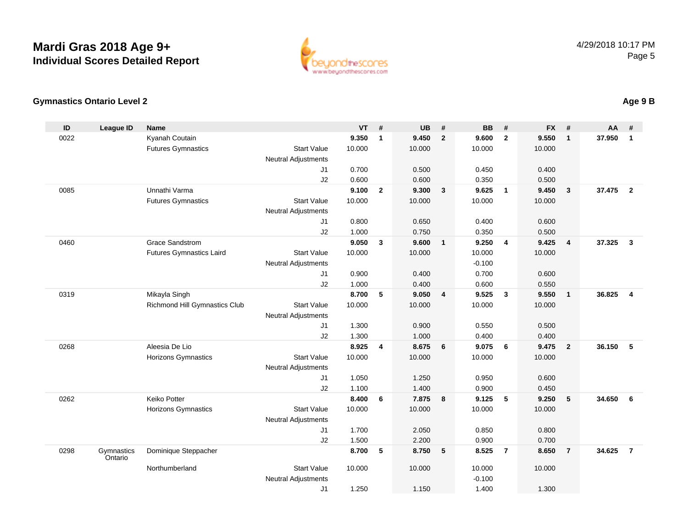

### **Gymnastics Ontario Level 2**

| ID   | <b>League ID</b>      | <b>Name</b>                     |                            | <b>VT</b>      | #              | <b>UB</b>      | #                       | <b>BB</b>      | #                       | <b>FX</b>      | #                       | <b>AA</b> | #              |
|------|-----------------------|---------------------------------|----------------------------|----------------|----------------|----------------|-------------------------|----------------|-------------------------|----------------|-------------------------|-----------|----------------|
| 0022 |                       | Kyanah Coutain                  |                            | 9.350          | $\mathbf{1}$   | 9.450          | $\overline{2}$          | 9.600          | $\overline{2}$          | 9.550          | $\mathbf{1}$            | 37.950    | 1              |
|      |                       | <b>Futures Gymnastics</b>       | <b>Start Value</b>         | 10.000         |                | 10.000         |                         | 10.000         |                         | 10.000         |                         |           |                |
|      |                       |                                 | <b>Neutral Adjustments</b> |                |                |                |                         |                |                         |                |                         |           |                |
|      |                       |                                 | J1                         | 0.700          |                | 0.500          |                         | 0.450          |                         | 0.400          |                         |           |                |
|      |                       |                                 | J2                         | 0.600          |                | 0.600          |                         | 0.350          |                         | 0.500          |                         |           |                |
| 0085 |                       | Unnathi Varma                   |                            | 9.100          | $\overline{2}$ | 9.300          | $\mathbf{3}$            | 9.625          | $\overline{1}$          | 9.450          | $\overline{\mathbf{3}}$ | 37.475    | $\overline{2}$ |
|      |                       | <b>Futures Gymnastics</b>       | <b>Start Value</b>         | 10.000         |                | 10.000         |                         | 10.000         |                         | 10.000         |                         |           |                |
|      |                       |                                 | <b>Neutral Adjustments</b> |                |                |                |                         |                |                         |                |                         |           |                |
|      |                       |                                 | J <sub>1</sub>             | 0.800          |                | 0.650          |                         | 0.400          |                         | 0.600          |                         |           |                |
|      |                       |                                 | J2                         | 1.000          |                | 0.750          |                         | 0.350          |                         | 0.500          |                         |           |                |
| 0460 |                       | <b>Grace Sandstrom</b>          |                            | 9.050          | $\mathbf{3}$   | 9.600          | $\overline{\mathbf{1}}$ | 9.250          | $\overline{\mathbf{4}}$ | 9.425          | $\overline{4}$          | 37.325    | $\mathbf{3}$   |
|      |                       | <b>Futures Gymnastics Laird</b> | <b>Start Value</b>         | 10.000         |                | 10.000         |                         | 10.000         |                         | 10.000         |                         |           |                |
|      |                       |                                 | <b>Neutral Adjustments</b> |                |                |                |                         | $-0.100$       |                         |                |                         |           |                |
|      |                       |                                 | J1                         | 0.900          |                | 0.400          |                         | 0.700          |                         | 0.600          |                         |           |                |
| 0319 |                       | Mikayla Singh                   | J2                         | 1.000<br>8.700 | 5              | 0.400<br>9.050 | $\overline{4}$          | 0.600<br>9.525 | $\overline{\mathbf{3}}$ | 0.550<br>9.550 | $\mathbf{1}$            | 36.825    | $\overline{4}$ |
|      |                       | Richmond Hill Gymnastics Club   | <b>Start Value</b>         | 10.000         |                | 10.000         |                         | 10.000         |                         | 10.000         |                         |           |                |
|      |                       |                                 | <b>Neutral Adjustments</b> |                |                |                |                         |                |                         |                |                         |           |                |
|      |                       |                                 | J1                         | 1.300          |                | 0.900          |                         | 0.550          |                         | 0.500          |                         |           |                |
|      |                       |                                 | J2                         | 1.300          |                | 1.000          |                         | 0.400          |                         | 0.400          |                         |           |                |
| 0268 |                       | Aleesia De Lio                  |                            | 8.925          | $\overline{4}$ | 8.675          | 6                       | 9.075          | 6                       | 9.475          | $\overline{2}$          | 36.150    | 5              |
|      |                       | <b>Horizons Gymnastics</b>      | <b>Start Value</b>         | 10.000         |                | 10.000         |                         | 10.000         |                         | 10.000         |                         |           |                |
|      |                       |                                 | <b>Neutral Adjustments</b> |                |                |                |                         |                |                         |                |                         |           |                |
|      |                       |                                 | J <sub>1</sub>             | 1.050          |                | 1.250          |                         | 0.950          |                         | 0.600          |                         |           |                |
|      |                       |                                 | J2                         | 1.100          |                | 1.400          |                         | 0.900          |                         | 0.450          |                         |           |                |
| 0262 |                       | <b>Keiko Potter</b>             |                            | 8.400          | 6              | 7.875          | - 8                     | 9.125          | 5                       | 9.250          | 5                       | 34.650    | 6              |
|      |                       | Horizons Gymnastics             | <b>Start Value</b>         | 10.000         |                | 10.000         |                         | 10.000         |                         | 10.000         |                         |           |                |
|      |                       |                                 | <b>Neutral Adjustments</b> |                |                |                |                         |                |                         |                |                         |           |                |
|      |                       |                                 | J1                         | 1.700          |                | 2.050          |                         | 0.850          |                         | 0.800          |                         |           |                |
|      |                       |                                 | J2                         | 1.500          |                | 2.200          |                         | 0.900          |                         | 0.700          |                         |           |                |
| 0298 | Gymnastics<br>Ontario | Dominique Steppacher            |                            | 8.700          | 5              | 8.750          | 5                       | 8.525          | $\overline{7}$          | 8.650          | $\overline{7}$          | 34.625    | $\overline{7}$ |
|      |                       | Northumberland                  | <b>Start Value</b>         | 10.000         |                | 10.000         |                         | 10.000         |                         | 10.000         |                         |           |                |
|      |                       |                                 | <b>Neutral Adjustments</b> |                |                |                |                         | $-0.100$       |                         |                |                         |           |                |
|      |                       |                                 | J1                         | 1.250          |                | 1.150          |                         | 1.400          |                         | 1.300          |                         |           |                |

## **Age 9 B**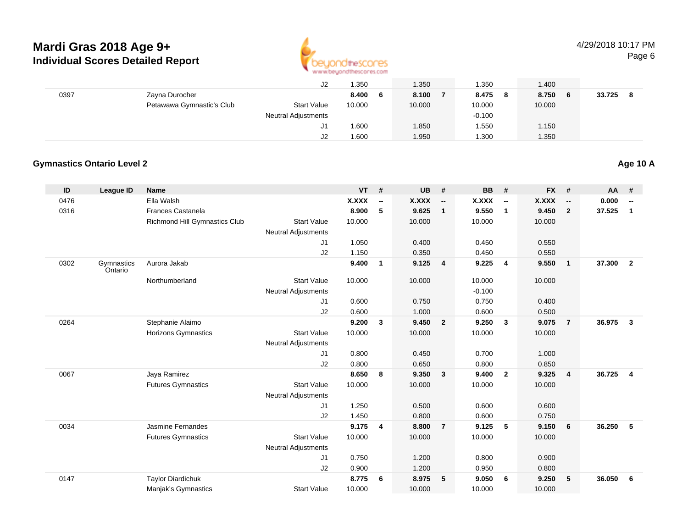

4/29/2018 10:17 PMPage 6

|      |                           | J <sub>2</sub>             | .350         | 1.350  | 1.350              | 1.400        |             |
|------|---------------------------|----------------------------|--------------|--------|--------------------|--------------|-------------|
| 0397 | Zayna Durocher            |                            | 8.400<br>- 6 | 8.100  | 8.475<br>$\bullet$ | 8.750<br>- 6 | 33.725<br>8 |
|      | Petawawa Gymnastic's Club | <b>Start Value</b>         | 10.000       | 10.000 | 10.000             | 10.000       |             |
|      |                           | <b>Neutral Adjustments</b> |              |        | $-0.100$           |              |             |
|      |                           | J1                         | .600         | 1.850  | 1.550              | 1.150        |             |
|      |                           | J2                         | .600         | 1.950  | 1.300              | 1.350        |             |

### **Gymnastics Ontario Level 2**

| ID   | <b>League ID</b>      | <b>Name</b>                   |                            | <b>VT</b>    | #                        | <b>UB</b> | #                        | <b>BB</b>    | #                        | <b>FX</b>    | #              | <b>AA</b> | #                        |
|------|-----------------------|-------------------------------|----------------------------|--------------|--------------------------|-----------|--------------------------|--------------|--------------------------|--------------|----------------|-----------|--------------------------|
| 0476 |                       | Ella Walsh                    |                            | <b>X.XXX</b> | $\overline{\phantom{a}}$ | X.XXX     | $\overline{\phantom{a}}$ | <b>X.XXX</b> | $\overline{\phantom{a}}$ | <b>X.XXX</b> | --             | 0.000     | $\overline{\phantom{a}}$ |
| 0316 |                       | Frances Castanela             |                            | 8.900        | 5                        | 9.625     | $\overline{1}$           | 9.550        | $\overline{1}$           | 9.450        | $\overline{2}$ | 37.525    | $\mathbf{1}$             |
|      |                       | Richmond Hill Gymnastics Club | <b>Start Value</b>         | 10.000       |                          | 10.000    |                          | 10.000       |                          | 10.000       |                |           |                          |
|      |                       |                               | <b>Neutral Adjustments</b> |              |                          |           |                          |              |                          |              |                |           |                          |
|      |                       |                               | J1                         | 1.050        |                          | 0.400     |                          | 0.450        |                          | 0.550        |                |           |                          |
|      |                       |                               | J2                         | 1.150        |                          | 0.350     |                          | 0.450        |                          | 0.550        |                |           |                          |
| 0302 | Gymnastics<br>Ontario | Aurora Jakab                  |                            | 9.400        | $\mathbf{1}$             | 9.125     | $\overline{\mathbf{4}}$  | 9.225        | 4                        | 9.550        | $\overline{1}$ | 37.300    | $\overline{2}$           |
|      |                       | Northumberland                | <b>Start Value</b>         | 10.000       |                          | 10.000    |                          | 10.000       |                          | 10.000       |                |           |                          |
|      |                       |                               | <b>Neutral Adjustments</b> |              |                          |           |                          | $-0.100$     |                          |              |                |           |                          |
|      |                       |                               | J1                         | 0.600        |                          | 0.750     |                          | 0.750        |                          | 0.400        |                |           |                          |
|      |                       |                               | J2                         | 0.600        |                          | 1.000     |                          | 0.600        |                          | 0.500        |                |           |                          |
| 0264 |                       | Stephanie Alaimo              |                            | 9.200        | 3                        | 9.450     | $\overline{\mathbf{2}}$  | 9.250        | 3                        | 9.075        | $\overline{7}$ | 36.975    | $\mathbf{3}$             |
|      |                       | <b>Horizons Gymnastics</b>    | <b>Start Value</b>         | 10.000       |                          | 10.000    |                          | 10.000       |                          | 10.000       |                |           |                          |
|      |                       |                               | <b>Neutral Adjustments</b> |              |                          |           |                          |              |                          |              |                |           |                          |
|      |                       |                               | J1                         | 0.800        |                          | 0.450     |                          | 0.700        |                          | 1.000        |                |           |                          |
|      |                       |                               | J2                         | 0.800        |                          | 0.650     |                          | 0.800        |                          | 0.850        |                |           |                          |
| 0067 |                       | Jaya Ramirez                  |                            | 8.650        | 8                        | 9.350     | $\mathbf{3}$             | 9.400        | $\overline{2}$           | 9.325        | $\overline{4}$ | 36.725    | $\overline{4}$           |
|      |                       | <b>Futures Gymnastics</b>     | <b>Start Value</b>         | 10.000       |                          | 10.000    |                          | 10.000       |                          | 10.000       |                |           |                          |
|      |                       |                               | <b>Neutral Adjustments</b> |              |                          |           |                          |              |                          |              |                |           |                          |
|      |                       |                               | J1                         | 1.250        |                          | 0.500     |                          | 0.600        |                          | 0.600        |                |           |                          |
|      |                       |                               | J2                         | 1.450        |                          | 0.800     |                          | 0.600        |                          | 0.750        |                |           |                          |
| 0034 |                       | Jasmine Fernandes             |                            | 9.175        | 4                        | 8.800     | $\overline{7}$           | 9.125        | 5                        | 9.150        | 6              | 36.250    | 5                        |
|      |                       | <b>Futures Gymnastics</b>     | <b>Start Value</b>         | 10.000       |                          | 10.000    |                          | 10.000       |                          | 10.000       |                |           |                          |
|      |                       |                               | Neutral Adjustments        |              |                          |           |                          |              |                          |              |                |           |                          |
|      |                       |                               | J1                         | 0.750        |                          | 1.200     |                          | 0.800        |                          | 0.900        |                |           |                          |
|      |                       |                               | J2                         | 0.900        |                          | 1.200     |                          | 0.950        |                          | 0.800        |                |           |                          |
| 0147 |                       | <b>Taylor Diardichuk</b>      |                            | 8.775        | 6                        | 8.975     | 5                        | 9.050        | 6                        | 9.250        | 5              | 36.050    | 6                        |
|      |                       | Manjak's Gymnastics           | <b>Start Value</b>         | 10.000       |                          | 10.000    |                          | 10.000       |                          | 10.000       |                |           |                          |

**Age 10 A**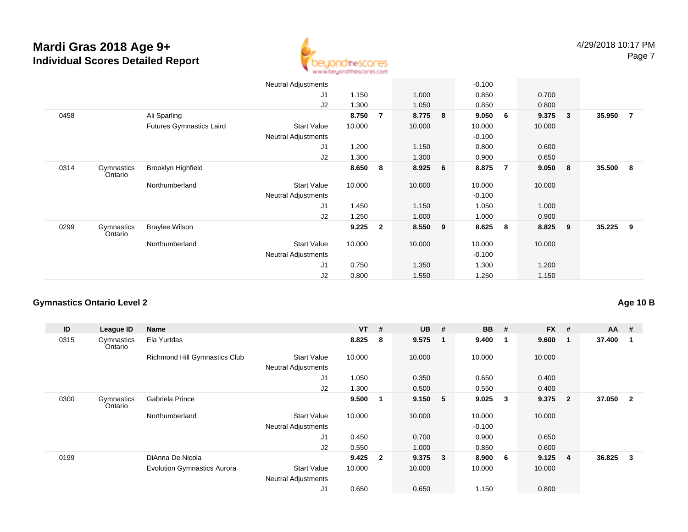

|      |                       |                                 | <b>Neutral Adjustments</b> |        |                |         |   | $-0.100$ |                |        |                         |        |                |
|------|-----------------------|---------------------------------|----------------------------|--------|----------------|---------|---|----------|----------------|--------|-------------------------|--------|----------------|
|      |                       |                                 | J <sub>1</sub>             | 1.150  |                | 1.000   |   | 0.850    |                | 0.700  |                         |        |                |
|      |                       |                                 | J <sub>2</sub>             | 1.300  |                | 1.050   |   | 0.850    |                | 0.800  |                         |        |                |
| 0458 |                       | Ali Sparling                    |                            | 8.750  | $\overline{7}$ | 8.775   | 8 | 9.050    | 6              | 9.375  | $\overline{\mathbf{3}}$ | 35.950 | $\overline{7}$ |
|      |                       | <b>Futures Gymnastics Laird</b> | <b>Start Value</b>         | 10.000 |                | 10.000  |   | 10.000   |                | 10.000 |                         |        |                |
|      |                       |                                 | <b>Neutral Adjustments</b> |        |                |         |   | $-0.100$ |                |        |                         |        |                |
|      |                       |                                 | J1                         | 1.200  |                | 1.150   |   | 0.800    |                | 0.600  |                         |        |                |
|      |                       |                                 | J2                         | 1.300  |                | 1.300   |   | 0.900    |                | 0.650  |                         |        |                |
| 0314 | Gymnastics<br>Ontario | Brooklyn Highfield              |                            | 8.650  | 8              | 8.925 6 |   | 8.875    | $\overline{7}$ | 9.050  | $\bf{8}$                | 35.500 | - 8            |
|      |                       | Northumberland                  | <b>Start Value</b>         | 10.000 |                | 10.000  |   | 10.000   |                | 10.000 |                         |        |                |
|      |                       |                                 | <b>Neutral Adjustments</b> |        |                |         |   | $-0.100$ |                |        |                         |        |                |
|      |                       |                                 | J <sub>1</sub>             | 1.450  |                | 1.150   |   | 1.050    |                | 1.000  |                         |        |                |
|      |                       |                                 | J2                         | 1.250  |                | 1.000   |   | 1.000    |                | 0.900  |                         |        |                |
| 0299 | Gymnastics<br>Ontario | <b>Braylee Wilson</b>           |                            | 9.225  | $\mathbf{2}$   | 8.550 9 |   | 8.625    | 8              | 8.825  | - 9                     | 35.225 | -9             |
|      |                       | Northumberland                  | <b>Start Value</b>         | 10.000 |                | 10.000  |   | 10.000   |                | 10.000 |                         |        |                |
|      |                       |                                 | <b>Neutral Adjustments</b> |        |                |         |   | $-0.100$ |                |        |                         |        |                |
|      |                       |                                 | J <sub>1</sub>             | 0.750  |                | 1.350   |   | 1.300    |                | 1.200  |                         |        |                |
|      |                       |                                 | J2                         | 0.800  |                | 1.550   |   | 1.250    |                | 1.150  |                         |        |                |

### **Gymnastics Ontario Level 2**

**Age 10 B**

| ID   | League ID             | Name                               |                            | $VT$ # |                | <b>UB</b> | - #                     | <b>BB</b> | #  | <b>FX</b> | #                       | $AA$ # |                |
|------|-----------------------|------------------------------------|----------------------------|--------|----------------|-----------|-------------------------|-----------|----|-----------|-------------------------|--------|----------------|
| 0315 | Gymnastics<br>Ontario | Ela Yurtdas                        |                            | 8.825  | 8              | 9.575     | $\blacksquare$          | 9.400     | -1 | 9.600     |                         | 37.400 | -1             |
|      |                       | Richmond Hill Gymnastics Club      | <b>Start Value</b>         | 10.000 |                | 10.000    |                         | 10.000    |    | 10.000    |                         |        |                |
|      |                       |                                    | <b>Neutral Adjustments</b> |        |                |           |                         |           |    |           |                         |        |                |
|      |                       |                                    | J <sub>1</sub>             | 1.050  |                | 0.350     |                         | 0.650     |    | 0.400     |                         |        |                |
|      |                       |                                    | J <sub>2</sub>             | 1.300  |                | 0.500     |                         | 0.550     |    | 0.400     |                         |        |                |
| 0300 | Gymnastics<br>Ontario | Gabriela Prince                    |                            | 9.500  |                | 9.150     | $-5$                    | 9.025     | 3  | 9.375     | $\overline{2}$          | 37.050 | $\overline{2}$ |
|      |                       | Northumberland                     | <b>Start Value</b>         | 10.000 |                | 10.000    |                         | 10.000    |    | 10.000    |                         |        |                |
|      |                       |                                    | <b>Neutral Adjustments</b> |        |                |           |                         | $-0.100$  |    |           |                         |        |                |
|      |                       |                                    | J1                         | 0.450  |                | 0.700     |                         | 0.900     |    | 0.650     |                         |        |                |
|      |                       |                                    | J2                         | 0.550  |                | 1.000     |                         | 0.850     |    | 0.600     |                         |        |                |
| 0199 |                       | DiAnna De Nicola                   |                            | 9.425  | $\overline{2}$ | 9.375     | $\overline{\mathbf{3}}$ | 8.900     | 6  | 9.125     | $\overline{\mathbf{4}}$ | 36.825 | 3              |
|      |                       | <b>Evolution Gymnastics Aurora</b> | <b>Start Value</b>         | 10.000 |                | 10.000    |                         | 10.000    |    | 10.000    |                         |        |                |
|      |                       |                                    | <b>Neutral Adjustments</b> |        |                |           |                         |           |    |           |                         |        |                |
|      |                       |                                    | J1                         | 0.650  |                | 0.650     |                         | 1.150     |    | 0.800     |                         |        |                |